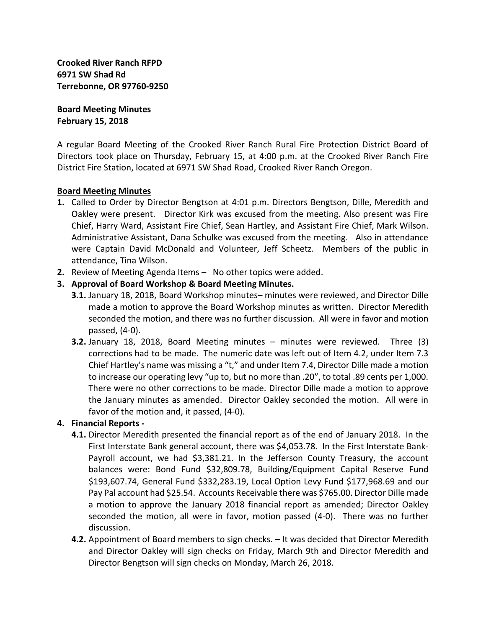**Crooked River Ranch RFPD 6971 SW Shad Rd Terrebonne, OR 97760-9250**

**Board Meeting Minutes February 15, 2018**

A regular Board Meeting of the Crooked River Ranch Rural Fire Protection District Board of Directors took place on Thursday, February 15, at 4:00 p.m. at the Crooked River Ranch Fire District Fire Station, located at 6971 SW Shad Road, Crooked River Ranch Oregon.

#### **Board Meeting Minutes**

- **1.** Called to Order by Director Bengtson at 4:01 p.m. Directors Bengtson, Dille, Meredith and Oakley were present. Director Kirk was excused from the meeting. Also present was Fire Chief, Harry Ward, Assistant Fire Chief, Sean Hartley, and Assistant Fire Chief, Mark Wilson. Administrative Assistant, Dana Schulke was excused from the meeting. Also in attendance were Captain David McDonald and Volunteer, Jeff Scheetz. Members of the public in attendance, Tina Wilson.
- **2.** Review of Meeting Agenda Items No other topics were added.
- **3. Approval of Board Workshop & Board Meeting Minutes.**
	- **3.1.** January 18, 2018, Board Workshop minutes– minutes were reviewed, and Director Dille made a motion to approve the Board Workshop minutes as written. Director Meredith seconded the motion, and there was no further discussion. All were in favor and motion passed, (4-0).
	- **3.2.** January 18, 2018, Board Meeting minutes minutes were reviewed. Three (3) corrections had to be made. The numeric date was left out of Item 4.2, under Item 7.3 Chief Hartley's name was missing a "t," and under Item 7.4, Director Dille made a motion to increase our operating levy "up to, but no more than .20", to total .89 cents per 1,000. There were no other corrections to be made. Director Dille made a motion to approve the January minutes as amended. Director Oakley seconded the motion. All were in favor of the motion and, it passed, (4-0).

# **4. Financial Reports -**

- **4.1.** Director Meredith presented the financial report as of the end of January 2018. In the First Interstate Bank general account, there was \$4,053.78. In the First Interstate Bank-Payroll account, we had \$3,381.21. In the Jefferson County Treasury, the account balances were: Bond Fund \$32,809.78, Building/Equipment Capital Reserve Fund \$193,607.74, General Fund \$332,283.19, Local Option Levy Fund \$177,968.69 and our Pay Pal account had \$25.54. Accounts Receivable there was \$765.00. Director Dille made a motion to approve the January 2018 financial report as amended; Director Oakley seconded the motion, all were in favor, motion passed (4-0). There was no further discussion.
- **4.2.** Appointment of Board members to sign checks. It was decided that Director Meredith and Director Oakley will sign checks on Friday, March 9th and Director Meredith and Director Bengtson will sign checks on Monday, March 26, 2018.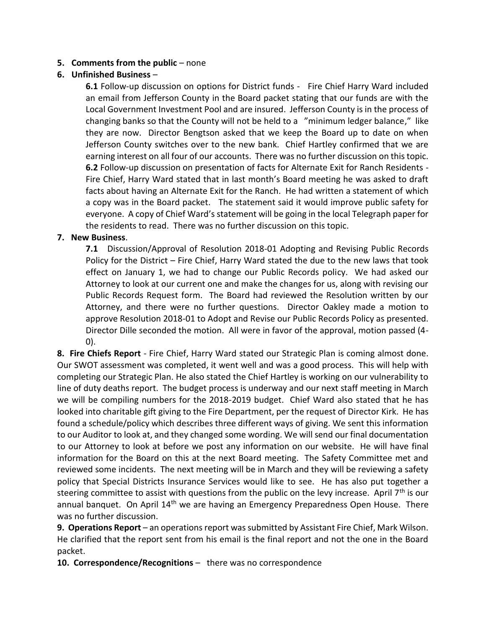## **5. Comments from the public** – none

# **6. Unfinished Business** –

**6.1** Follow-up discussion on options for District funds - Fire Chief Harry Ward included an email from Jefferson County in the Board packet stating that our funds are with the Local Government Investment Pool and are insured. Jefferson County is in the process of changing banks so that the County will not be held to a "minimum ledger balance," like they are now. Director Bengtson asked that we keep the Board up to date on when Jefferson County switches over to the new bank. Chief Hartley confirmed that we are earning interest on all four of our accounts. There was no further discussion on this topic. **6.2** Follow-up discussion on presentation of facts for Alternate Exit for Ranch Residents - Fire Chief, Harry Ward stated that in last month's Board meeting he was asked to draft facts about having an Alternate Exit for the Ranch. He had written a statement of which a copy was in the Board packet. The statement said it would improve public safety for everyone. A copy of Chief Ward's statement will be going in the local Telegraph paper for the residents to read. There was no further discussion on this topic.

#### **7. New Business**.

**7.1** Discussion/Approval of Resolution 2018-01 Adopting and Revising Public Records Policy for the District – Fire Chief, Harry Ward stated the due to the new laws that took effect on January 1, we had to change our Public Records policy. We had asked our Attorney to look at our current one and make the changes for us, along with revising our Public Records Request form. The Board had reviewed the Resolution written by our Attorney, and there were no further questions. Director Oakley made a motion to approve Resolution 2018-01 to Adopt and Revise our Public Records Policy as presented. Director Dille seconded the motion. All were in favor of the approval, motion passed (4- 0).

**8. Fire Chiefs Report** - Fire Chief, Harry Ward stated our Strategic Plan is coming almost done. Our SWOT assessment was completed, it went well and was a good process. This will help with completing our Strategic Plan. He also stated the Chief Hartley is working on our vulnerability to line of duty deaths report. The budget process is underway and our next staff meeting in March we will be compiling numbers for the 2018-2019 budget. Chief Ward also stated that he has looked into charitable gift giving to the Fire Department, per the request of Director Kirk. He has found a schedule/policy which describes three different ways of giving. We sent this information to our Auditor to look at, and they changed some wording. We will send our final documentation to our Attorney to look at before we post any information on our website. He will have final information for the Board on this at the next Board meeting. The Safety Committee met and reviewed some incidents. The next meeting will be in March and they will be reviewing a safety policy that Special Districts Insurance Services would like to see. He has also put together a steering committee to assist with questions from the public on the levy increase. April 7<sup>th</sup> is our annual banquet. On April 14<sup>th</sup> we are having an Emergency Preparedness Open House. There was no further discussion.

**9. Operations Report** – an operations report was submitted by Assistant Fire Chief, Mark Wilson. He clarified that the report sent from his email is the final report and not the one in the Board packet.

**10. Correspondence/Recognitions** – there was no correspondence